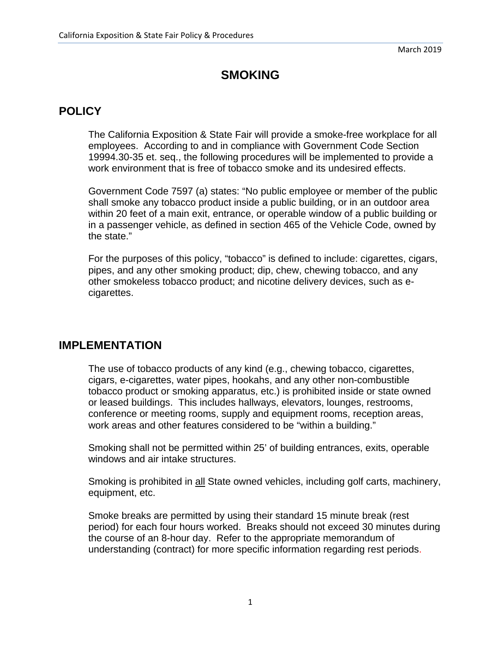## **SMOKING**

## **POLICY**

The California Exposition & State Fair will provide a smoke-free workplace for all employees. According to and in compliance with Government Code Section 19994.30-35 et. seq., the following procedures will be implemented to provide a work environment that is free of tobacco smoke and its undesired effects.

Government Code 7597 (a) states: "No public employee or member of the public shall smoke any tobacco product inside a public building, or in an outdoor area within 20 feet of a main exit, entrance, or operable window of a public building or in a passenger vehicle, as defined in section 465 of the Vehicle Code, owned by the state."

For the purposes of this policy, "tobacco" is defined to include: cigarettes, cigars, pipes, and any other smoking product; dip, chew, chewing tobacco, and any other smokeless tobacco product; and nicotine delivery devices, such as ecigarettes.

## **IMPLEMENTATION**

The use of tobacco products of any kind (e.g., chewing tobacco, cigarettes, cigars, e-cigarettes, water pipes, hookahs, and any other non-combustible tobacco product or smoking apparatus, etc.) is prohibited inside or state owned or leased buildings. This includes hallways, elevators, lounges, restrooms, conference or meeting rooms, supply and equipment rooms, reception areas, work areas and other features considered to be "within a building."

Smoking shall not be permitted within 25' of building entrances, exits, operable windows and air intake structures.

Smoking is prohibited in all State owned vehicles, including golf carts, machinery, equipment, etc.

Smoke breaks are permitted by using their standard 15 minute break (rest period) for each four hours worked. Breaks should not exceed 30 minutes during the course of an 8-hour day. Refer to the appropriate memorandum of understanding (contract) for more specific information regarding rest periods.